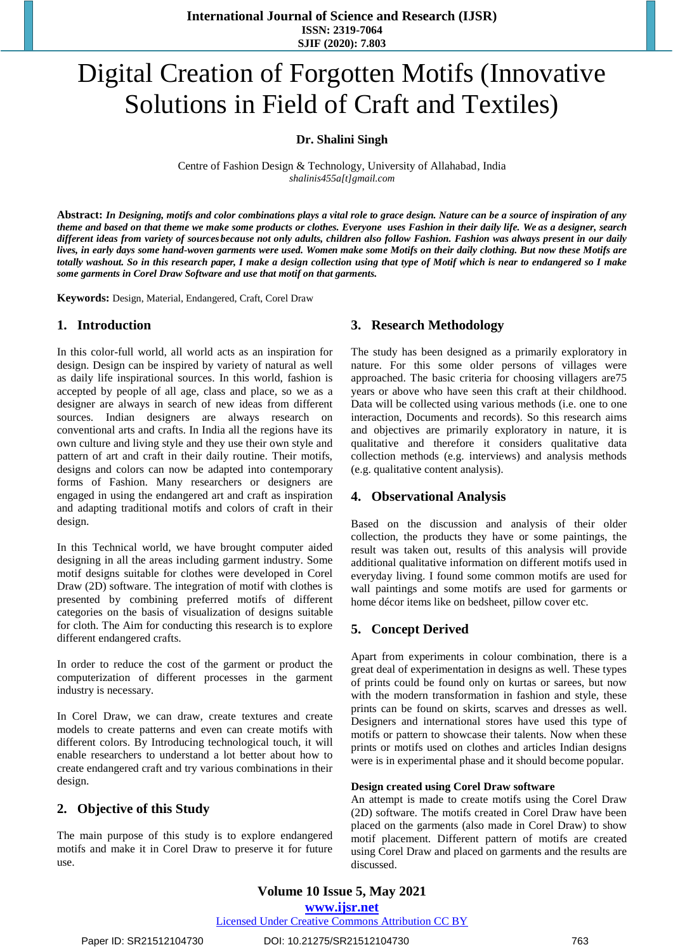# Digital Creation of Forgotten Motifs (Innovative Solutions in Field of Craft and Textiles)

**Dr. Shalini Singh**

Centre of Fashion Design & Technology, University of Allahabad, India *[shalinis455a\[t\]gmail.com](mailto:shalinis455@gmail.com)*

**Abstract:** *In Designing, motifs and color combinations plays a vital role to grace design. Nature can be a source of inspiration of any theme and based on that theme we make some products or clothes. Everyone uses Fashion in their daily life. We as a designer, search different ideas from variety of sources because not only adults, children also follow Fashion. Fashion was always present in our daily lives, in early days some hand-woven garments were used. Women make some Motifs on their daily clothing. But now these Motifs are totally washout. So in this research paper, I make a design collection using that type of Motif which is near to endangered so I make some garments in Corel Draw Software and use that motif on that garments.*

**Keywords:** Design, Material, Endangered, Craft, Corel Draw

### **1. Introduction**

In this color-full world, all world acts as an inspiration for design. Design can be inspired by variety of natural as well as daily life inspirational sources. In this world, fashion is accepted by people of all age, class and place, so we as a designer are always in search of new ideas from different sources. Indian designers are always research on conventional arts and crafts. In India all the regions have its own culture and living style and they use their own style and pattern of art and craft in their daily routine. Their motifs, designs and colors can now be adapted into contemporary forms of Fashion. Many researchers or designers are engaged in using the endangered art and craft as inspiration and adapting traditional motifs and colors of craft in their design.

In this Technical world, we have brought computer aided designing in all the areas including garment industry. Some motif designs suitable for clothes were developed in Corel Draw (2D) software. The integration of motif with clothes is presented by combining preferred motifs of different categories on the basis of visualization of designs suitable for cloth. The Aim for conducting this research is to explore different endangered crafts.

In order to reduce the cost of the garment or product the computerization of different processes in the garment industry is necessary.

In Corel Draw, we can draw, create textures and create models to create patterns and even can create motifs with different colors. By Introducing technological touch, it will enable researchers to understand a lot better about how to create endangered craft and try various combinations in their design.

### **2. Objective of this Study**

The main purpose of this study is to explore endangered motifs and make it in Corel Draw to preserve it for future use.

### **3. Research Methodology**

The study has been designed as a primarily exploratory in nature. For this some older persons of villages were approached. The basic criteria for choosing villagers are75 years or above who have seen this craft at their childhood. Data will be collected using various methods (i.e. one to one interaction, Documents and records). So this research aims and objectives are primarily exploratory in nature, it is qualitative and therefore it considers qualitative data collection methods (e.g. interviews) and analysis methods (e.g. qualitative content analysis).

### **4. Observational Analysis**

Based on the discussion and analysis of their older collection, the products they have or some paintings, the result was taken out, results of this analysis will provide additional qualitative information on different motifs used in everyday living. I found some common motifs are used for wall paintings and some motifs are used for garments or home décor items like on bedsheet, pillow cover etc.

### **5. Concept Derived**

Apart from experiments in colour combination, there is a great deal of experimentation in designs as well. These types of prints could be found only on kurtas or sarees, but now with the modern transformation in fashion and style, these prints can be found on skirts, scarves and dresses as well. Designers and international stores have used this type of motifs or pattern to showcase their talents. Now when these prints or motifs used on clothes and articles Indian designs were is in experimental phase and it should become popular.

#### **Design created using Corel Draw software**

An attempt is made to create motifs using the Corel Draw (2D) software. The motifs created in Corel Draw have been placed on the garments (also made in Corel Draw) to show motif placement. Different pattern of motifs are created using Corel Draw and placed on garments and the results are discussed.

## **Volume 10 Issue 5, May 2021**

### **www.ijsr.net**

Licensed Under Creative Commons Attribution CC BY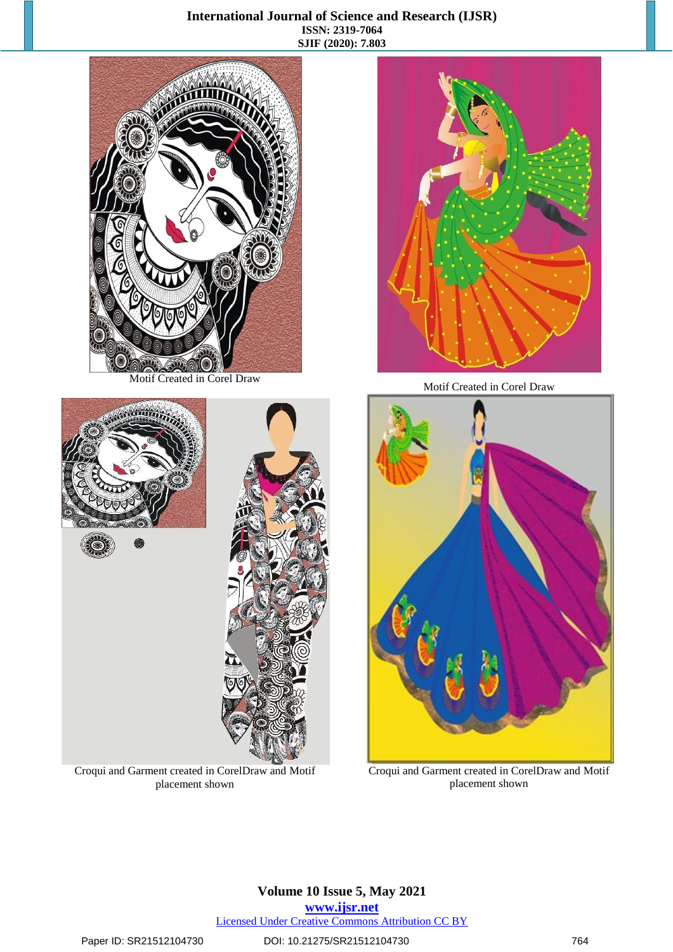### **International Journal of Science and Research (IJSR) ISSN: 2319-7064 SJIF (2020): 7.803**



Motif Created in Corel Draw

**STITTING** 

Croqui and Garment created in CorelDraw and Motif placement shown



Motif Created in Corel Draw



Croqui and Garment created in CorelDraw and Motif placement shown



### Paper ID: SR21512104730 DOI: 10.21275/SR21512104730 764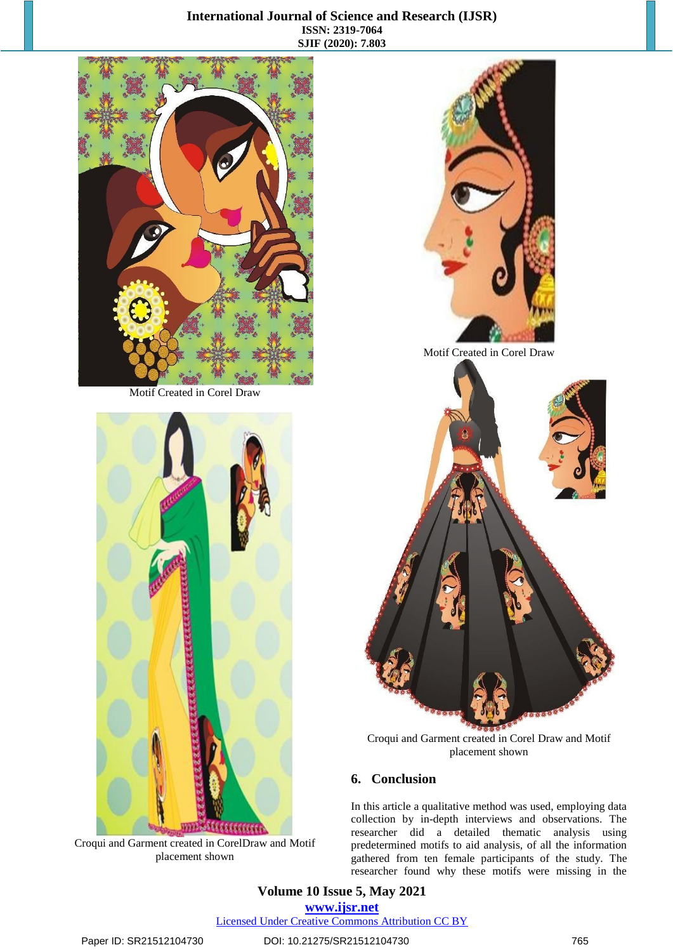### **International Journal of Science and Research (IJSR) ISSN: 2319-7064 SJIF (2020): 7.803**



Motif Created in Corel Draw



Croqui and Garment created in CorelDraw and Motif placement shown



Motif Created in Corel Draw



Croqui and Garment created in Corel Draw and Motif placement shown

### **6. Conclusion**

In this article a qualitative method was used, employing data collection by in-depth interviews and observations. The researcher did a detailed thematic analysis using predetermined motifs to aid analysis, of all the information gathered from ten female participants of the study. The researcher found why these motifs were missing in the

**Volume 10 Issue 5, May 2021 www.ijsr.net** Licensed Under Creative Commons Attribution CC BY